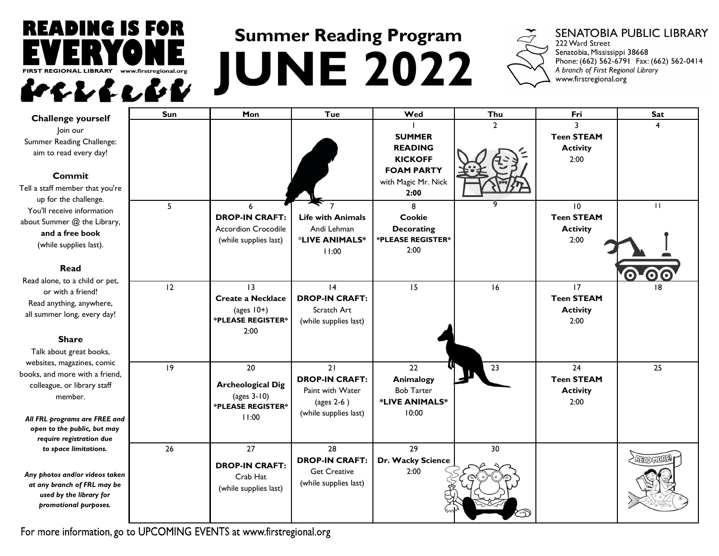

## **Summer Reading Program JUNE 2022**



| <b>Challenge yourself</b>                                                                                                                                                                                                                                                                                                                                                                                            | Sun | Mon                                                                                       | <b>Tue</b>                                                                             | Wed                                                                                                   | Thu            | Fri                                                | Sat               |
|----------------------------------------------------------------------------------------------------------------------------------------------------------------------------------------------------------------------------------------------------------------------------------------------------------------------------------------------------------------------------------------------------------------------|-----|-------------------------------------------------------------------------------------------|----------------------------------------------------------------------------------------|-------------------------------------------------------------------------------------------------------|----------------|----------------------------------------------------|-------------------|
| Join our<br>Summer Reading Challenge:<br>aim to read every day!<br>Commit<br>Tell a staff member that you're<br>up for the challenge.<br>You'll receive information<br>about Summer @ the Library,<br>and a free book<br>(while supplies last).<br>Read<br>Read alone, to a child or pet,<br>or with a friend!<br>Read anything, anywhere,<br>all summer long, every day!<br><b>Share</b><br>Talk about great books, |     |                                                                                           |                                                                                        | <b>SUMMER</b><br><b>READING</b><br><b>KICKOFF</b><br><b>FOAM PARTY</b><br>with Magic Mr. Nick<br>2:00 | $\overline{2}$ | 3<br><b>Teen STEAM</b><br><b>Activity</b><br>2:00  | 4                 |
|                                                                                                                                                                                                                                                                                                                                                                                                                      | 5   | 6<br><b>DROP-IN CRAFT:</b><br><b>Accordion Crocodile</b><br>(while supplies last)         | <b>Life with Animals</b><br>Andi Lehman<br>*LIVE ANIMALS*<br>11:00                     | 8<br><b>Cookie</b><br><b>Decorating</b><br>*PLEASE REGISTER*<br>2:00                                  | 9              | 10<br><b>Teen STEAM</b><br><b>Activity</b><br>2:00 | $\mathbf{H}$      |
|                                                                                                                                                                                                                                                                                                                                                                                                                      | 12  | $\overline{13}$<br><b>Create a Necklace</b><br>(ages $10+$ )<br>*PLEASE REGISTER*<br>2:00 | 4<br><b>DROP-IN CRAFT:</b><br>Scratch Art<br>(while supplies last)                     | 15                                                                                                    | 16             | 17<br><b>Teen STEAM</b><br><b>Activity</b><br>2:00 | 18                |
| websites, magazines, comic<br>books, and more with a friend,<br>colleague, or library staff<br>member.<br>All FRL programs are FREE and<br>open to the public, but may<br>require registration due                                                                                                                                                                                                                   | 9   | 20<br><b>Archeological Dig</b><br>(ages $3-10$ )<br>*PLEASE REGISTER*<br>11:00            | 21<br><b>DROP-IN CRAFT:</b><br>Paint with Water<br>(ages 2-6)<br>(while supplies last) | 22<br><b>Animalogy</b><br><b>Bob Tarter</b><br>*LIVE ANIMALS*<br>10:00                                | 23             | 24<br><b>Teen STEAM</b><br><b>Activity</b><br>2:00 | 25                |
| to space limitations.<br>Any photos and/or videos taken<br>at any branch of FRL may be<br>used by the library for<br>promotional purposes.                                                                                                                                                                                                                                                                           | 26  | 27<br><b>DROP-IN CRAFT:</b><br>Crab Hat<br>(while supplies last)                          | 28<br><b>DROP-IN CRAFT:</b><br><b>Get Creative</b><br>(while supplies last)            | 29<br>Dr. Wacky Science<br>2:00                                                                       | 30             |                                                    | <b>ARTO HOORS</b> |

For more information, go to UPCOMING EVENTS at www.firstregional.org